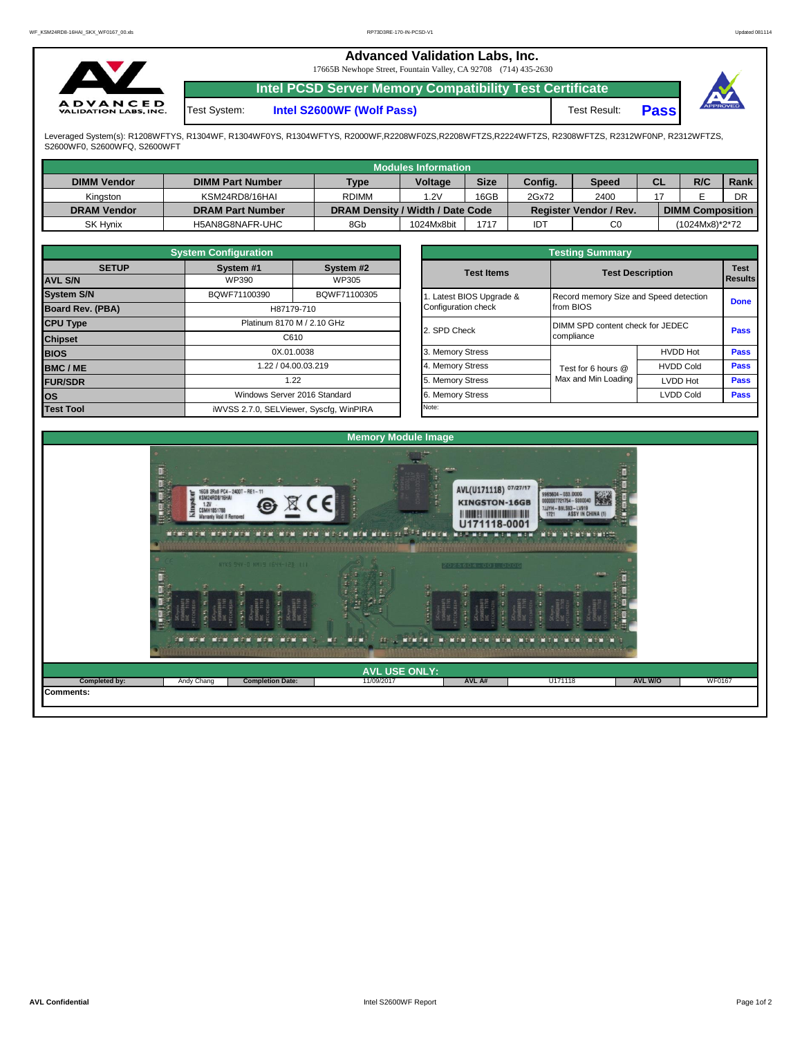|                                                 | <b>Advanced Validation Labs, Inc.</b><br>17665B Newhope Street, Fountain Valley, CA 92708 (714) 435-2630 |                                                                |              |             |          |  |  |  |
|-------------------------------------------------|----------------------------------------------------------------------------------------------------------|----------------------------------------------------------------|--------------|-------------|----------|--|--|--|
|                                                 |                                                                                                          | <b>Intel PCSD Server Memory Compatibility Test Certificate</b> |              |             |          |  |  |  |
| <b>ADVANCED</b><br><b>VALIDATION LABS, INC.</b> | Test System:                                                                                             | Intel S2600WF (Wolf Pass)                                      | Test Result: | <b>Pass</b> | APPROVED |  |  |  |

Leveraged System(s): R1208WFTYS, R1304WF, R1304WF0YS, R1304WFTYS, R2000WF,R2208WF0ZS,R2208WFTZS,R2224WFTZS, R2308WFTZS, R2312WF0NP, R2312WFTZS,<br>S2600WF0, S2600WFQ, S2600WFT

|                    |                         |                                  | Modules Information |             |         |                               |           |                         |      |
|--------------------|-------------------------|----------------------------------|---------------------|-------------|---------|-------------------------------|-----------|-------------------------|------|
| <b>DIMM Vendor</b> | <b>DIMM Part Number</b> | <b>Type</b>                      | <b>Voltage</b>      | <b>Size</b> | Config. | <b>Speed</b>                  | <b>CL</b> | R/C                     | Rank |
| Kinaston           | KSM24RD8/16HAI          | <b>RDIMM</b>                     | 1.2V                | 16GB        | 2Gx72   | 2400                          |           |                         | DR   |
| <b>DRAM Vendor</b> | <b>DRAM Part Number</b> | DRAM Density / Width / Date Code |                     |             |         | <b>Register Vendor / Rev.</b> |           | <b>DIMM Composition</b> |      |
| <b>SK Hynix</b>    | H5AN8G8NAFR-UHC         | 8Gb                              | 1024Mx8bit          | 1717        | דסו     | C <sub>0</sub>                |           | (1024Mx8)*2*72          |      |

|                   | <b>System Configuration</b> |                                         |
|-------------------|-----------------------------|-----------------------------------------|
| <b>SETUP</b>      | System #1                   | System #2                               |
| <b>AVL S/N</b>    | WP390                       | <b>WP305</b>                            |
| <b>System S/N</b> | BQWF71100390                | BQWF71100305                            |
| Board Rev. (PBA)  |                             | H87179-710                              |
| <b>CPU Type</b>   |                             | Platinum 8170 M / 2.10 GHz              |
| <b>Chipset</b>    |                             | C610                                    |
| <b>BIOS</b>       |                             | 0X.01.0038                              |
| <b>BMC/ME</b>     |                             | 1.22 / 04.00.03.219                     |
| <b>FUR/SDR</b>    |                             | 1.22                                    |
| los               |                             | Windows Server 2016 Standard            |
| <b>Test Tool</b>  |                             | iWVSS 2.7.0, SELViewer, Syscfg, WinPIRA |

|                                                 | <b>Testing Summary</b>                              |                  |                               |
|-------------------------------------------------|-----------------------------------------------------|------------------|-------------------------------|
| <b>Test Items</b>                               | <b>Test Description</b>                             |                  | <b>Test</b><br><b>Results</b> |
| 1. Latest BIOS Upgrade &<br>Configuration check | Record memory Size and Speed detection<br>from BIOS |                  | <b>Done</b>                   |
| 2. SPD Check                                    | DIMM SPD content check for JEDEC<br>compliance      |                  | Pass                          |
| 3. Memory Stress                                |                                                     | <b>HVDD Hot</b>  | <b>Pass</b>                   |
| 4. Memory Stress                                | Test for 6 hours @                                  | <b>HVDD Cold</b> | <b>Pass</b>                   |
| 5. Memory Stress                                | Max and Min Loading                                 | <b>LVDD Hot</b>  | <b>Pass</b>                   |
| 6. Memory Stress                                |                                                     | <b>LVDD Cold</b> | Pass                          |
| Note:                                           |                                                     |                  |                               |